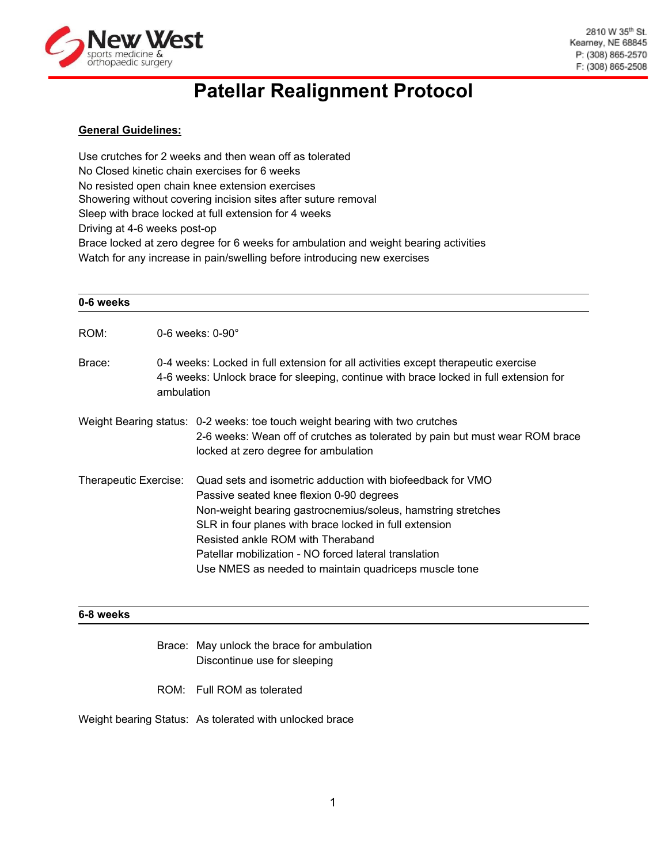

# **Patellar Realignment Protocol**

## **General Guidelines:**

Use crutches for 2 weeks and then wean off as tolerated No Closed kinetic chain exercises for 6 weeks No resisted open chain knee extension exercises Showering without covering incision sites after suture removal Sleep with brace locked at full extension for 4 weeks Driving at 4-6 weeks post-op Brace locked at zero degree for 6 weeks for ambulation and weight bearing activities Watch for any increase in pain/swelling before introducing new exercises

| 0-6 weeks             |                         |                                                                                                                                                                                                                                                                                                                                                                                         |  |
|-----------------------|-------------------------|-----------------------------------------------------------------------------------------------------------------------------------------------------------------------------------------------------------------------------------------------------------------------------------------------------------------------------------------------------------------------------------------|--|
| ROM:                  | 0-6 weeks: $0-90^\circ$ |                                                                                                                                                                                                                                                                                                                                                                                         |  |
| Brace:                |                         | 0-4 weeks: Locked in full extension for all activities except therapeutic exercise<br>4-6 weeks: Unlock brace for sleeping, continue with brace locked in full extension for<br>ambulation                                                                                                                                                                                              |  |
|                       |                         | Weight Bearing status: 0-2 weeks: toe touch weight bearing with two crutches<br>2-6 weeks: Wean off of crutches as tolerated by pain but must wear ROM brace<br>locked at zero degree for ambulation                                                                                                                                                                                    |  |
| Therapeutic Exercise: |                         | Quad sets and isometric adduction with biofeedback for VMO<br>Passive seated knee flexion 0-90 degrees<br>Non-weight bearing gastrocnemius/soleus, hamstring stretches<br>SLR in four planes with brace locked in full extension<br>Resisted ankle ROM with Theraband<br>Patellar mobilization - NO forced lateral translation<br>Use NMES as needed to maintain quadriceps muscle tone |  |

### **6-8 weeks**

- Brace: May unlock the brace for ambulation Discontinue use for sleeping
- ROM: Full ROM as tolerated

Weight bearing Status: As tolerated with unlocked brace